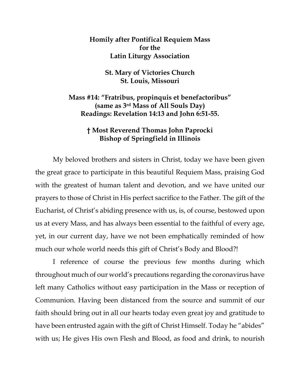## **Homily after Pontifical Requiem Mass for the Latin Liturgy Association**

## **St. Mary of Victories Church St. Louis, Missouri**

**Mass #14: "Fratribus, propinquis et benefactoribus" (same as 3rd Mass of All Souls Day) Readings: Revelation 14:13 and John 6:51-55.**

## **† Most Reverend Thomas John Paprocki Bishop of Springfield in Illinois**

My beloved brothers and sisters in Christ, today we have been given the great grace to participate in this beautiful Requiem Mass, praising God with the greatest of human talent and devotion, and we have united our prayers to those of Christ in His perfect sacrifice to the Father. The gift of the Eucharist, of Christ's abiding presence with us, is, of course, bestowed upon us at every Mass, and has always been essential to the faithful of every age, yet, in our current day, have we not been emphatically reminded of how much our whole world needs this gift of Christ's Body and Blood?!

I reference of course the previous few months during which throughout much of our world's precautions regarding the coronavirus have left many Catholics without easy participation in the Mass or reception of Communion. Having been distanced from the source and summit of our faith should bring out in all our hearts today even great joy and gratitude to have been entrusted again with the gift of Christ Himself. Today he "abides" with us; He gives His own Flesh and Blood, as food and drink, to nourish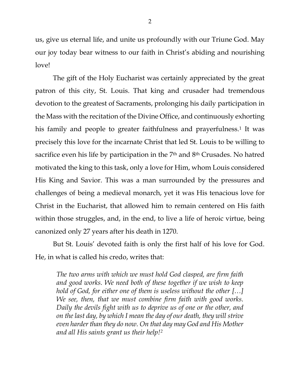us, give us eternal life, and unite us profoundly with our Triune God. May our joy today bear witness to our faith in Christ's abiding and nourishing love!

The gift of the Holy Eucharist was certainly appreciated by the great patron of this city, St. Louis. That king and crusader had tremendous devotion to the greatest of Sacraments, prolonging his daily participation in the Mass with the recitation of the Divine Office, and continuously exhorting his family and people to greater faithfulness and prayerfulness.<sup>[1](#page-5-0)</sup> It was precisely this love for the incarnate Christ that led St. Louis to be willing to sacrifice even his life by participation in the 7<sup>th</sup> and 8<sup>th</sup> Crusades. No hatred motivated the king to this task, only a love for Him, whom Louis considered His King and Savior. This was a man surrounded by the pressures and challenges of being a medieval monarch, yet it was His tenacious love for Christ in the Eucharist, that allowed him to remain centered on His faith within those struggles, and, in the end, to live a life of heroic virtue, being canonized only 27 years after his death in 1270.

But St. Louis' devoted faith is only the first half of his love for God. He, in what is called his credo, writes that:

*The two arms with which we must hold God clasped, are firm faith and good works. We need both of these together if we wish to keep hold of God, for either one of them is useless without the other […] We see, then, that we must combine firm faith with good works. Daily the devils fight with us to deprive us of one or the other, and on the last day, by which I mean the day of our death, they will strive even harder than they do now. On that day may God and His Mother and all His saints grant us their help![2](#page-5-1)*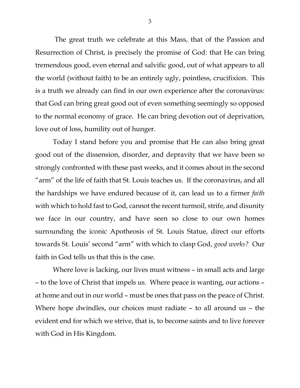The great truth we celebrate at this Mass, that of the Passion and Resurrection of Christ, is precisely the promise of God: that He can bring tremendous good, even eternal and salvific good, out of what appears to all the world (without faith) to be an entirely ugly, pointless, crucifixion. This is a truth we already can find in our own experience after the coronavirus: that God can bring great good out of even something seemingly so opposed to the normal economy of grace. He can bring devotion out of deprivation, love out of loss, humility out of hunger.

Today I stand before you and promise that He can also bring great good out of the dissension, disorder, and depravity that we have been so strongly confronted with these past weeks, and it comes about in the second "arm" of the life of faith that St. Louis teaches us. If the coronavirus, and all the hardships we have endured because of it, can lead us to a firmer *faith* with which to hold fast to God, cannot the recent turmoil, strife, and disunity we face in our country, and have seen so close to our own homes surrounding the iconic Apotheosis of St. Louis Statue, direct our efforts towards St. Louis' second "arm" with which to clasp God, *good works?* Our faith in God tells us that this is the case.

Where love is lacking, our lives must witness – in small acts and large – to the love of Christ that impels us. Where peace is wanting, our actions – at home and out in our world – must be ones that pass on the peace of Christ. Where hope dwindles, our choices must radiate – to all around us – the evident end for which we strive, that is, to become saints and to live forever with God in His Kingdom.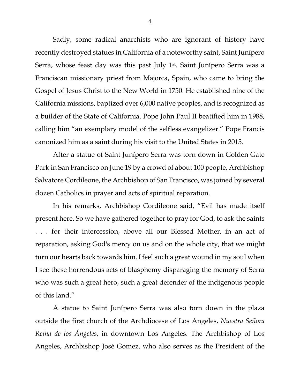Sadly, some radical anarchists who are ignorant of history have recently destroyed statues in California of a noteworthy saint, Saint Junípero Serra, whose feast day was this past July 1<sup>st</sup>. Saint Junípero Serra was a Franciscan missionary priest from Majorca, Spain, who came to bring the Gospel of Jesus Christ to the New World in 1750. He established nine of the California missions, baptized over 6,000 native peoples, and is recognized as a builder of the State of California. Pope John Paul II beatified him in 1988, calling him "an exemplary model of the selfless evangelizer." Pope Francis canonized him as a saint during his visit to the United States in 2015.

After a statue of Saint Junípero Serra was torn down in Golden Gate Park in San Francisco on June 19 by a crowd of about 100 people, Archbishop Salvatore Cordileone, the Archbishop of San Francisco, was joined by several dozen Catholics in prayer and acts of spiritual reparation.

In his remarks, Archbishop Cordileone said, "Evil has made itself present here. So we have gathered together to pray for God, to ask the saints . . . for their intercession, above all our Blessed Mother, in an act of reparation, asking God's mercy on us and on the whole city, that we might turn our hearts back towards him. I feel such a great wound in my soul when I see these horrendous acts of blasphemy disparaging the memory of Serra who was such a great hero, such a great defender of the indigenous people of this land."

A statue to Saint Junípero Serra was also torn down in the plaza outside the first church of the Archdiocese of Los Angeles, *Nuestra Señora Reina de los Ángeles*, in downtown Los Angeles. The Archbishop of Los Angeles, Archbishop José Gomez, who also serves as the President of the

4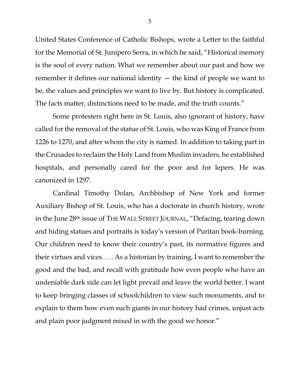United States Conference of Catholic Bishops, wrote a Letter to the faithful for the Memorial of St. Junípero Serra, in which he said, "Historical memory is the soul of every nation. What we remember about our past and how we remember it defines our national identity — the kind of people we want to be, the values and principles we want to live by. But history is complicated. The facts matter, distinctions need to be made, and the truth counts."

Some protesters right here in St. Louis, also ignorant of history, have called for the removal of the statue of St. Louis, who was King of France from 1226 to 1270, and after whom the city is named. In addition to taking part in the Crusades to reclaim the Holy Land from Muslim invaders, he established hospitals, and personally cared for the poor and for lepers. He was canonized in 1297.

Cardinal Timothy Dolan, Archbishop of New York and former Auxiliary Bishop of St. Louis, who has a doctorate in church history, wrote in the June 28th issue of THE WALL STREET JOURNAL, "Defacing, tearing down and hiding statues and portraits is today's version of Puritan book-burning. Our children need to know their country's past, its normative figures and their virtues and vices. . . . As a historian by training, I want to remember the good and the bad, and recall with gratitude how even people who have an undeniable dark side can let light prevail and leave the world better. I want to keep bringing classes of schoolchildren to view such monuments, and to explain to them how even such giants in our history had crimes, unjust acts and plain poor judgment mixed in with the good we honor."